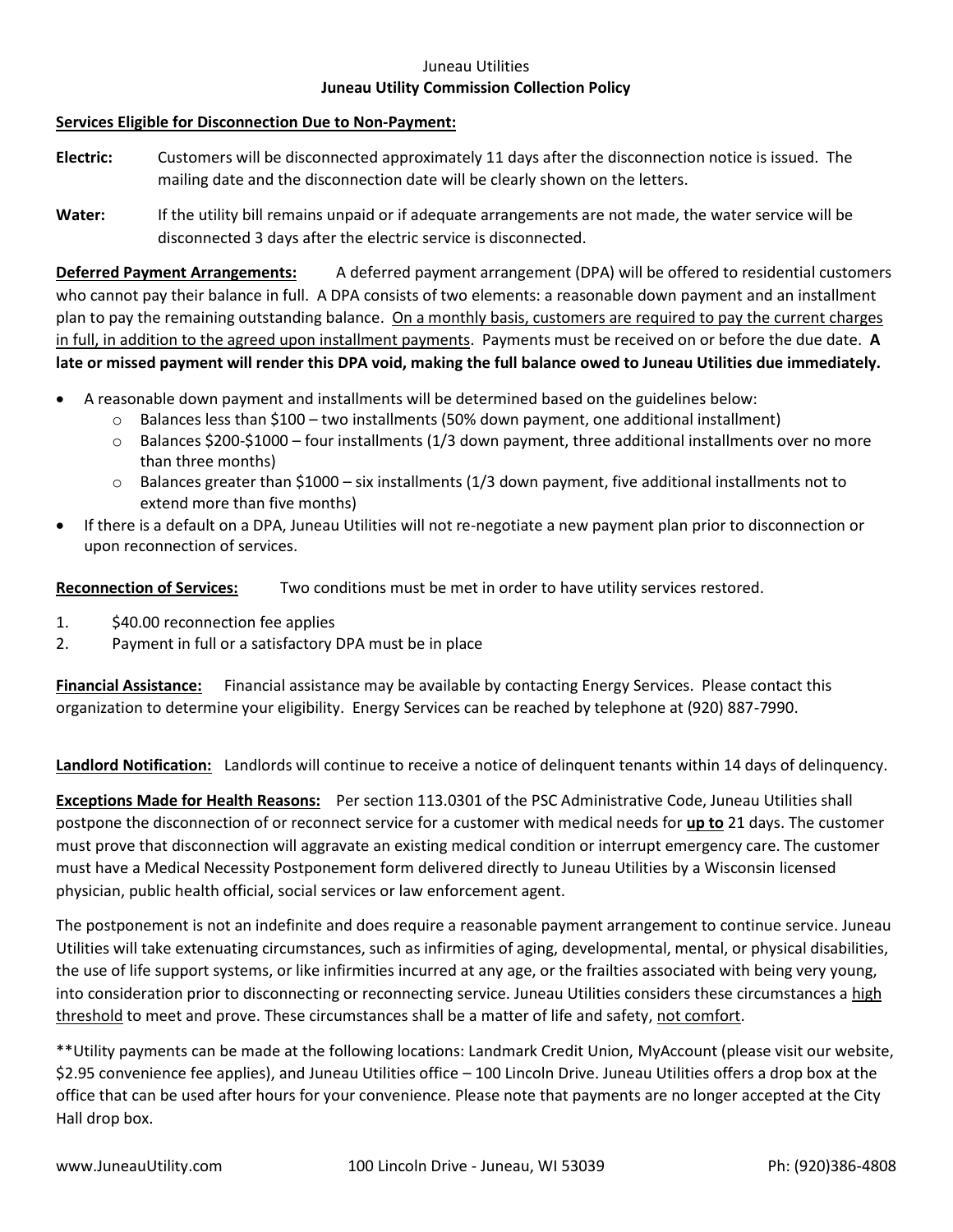## Juneau Utilities **Juneau Utility Commission Collection Policy**

## **Services Eligible for Disconnection Due to Non-Payment:**

- **Electric:** Customers will be disconnected approximately 11 days after the disconnection notice is issued. The mailing date and the disconnection date will be clearly shown on the letters.
- **Water:** If the utility bill remains unpaid or if adequate arrangements are not made, the water service will be disconnected 3 days after the electric service is disconnected.

**Deferred Payment Arrangements:** A deferred payment arrangement (DPA) will be offered to residential customers who cannot pay their balance in full. A DPA consists of two elements: a reasonable down payment and an installment plan to pay the remaining outstanding balance. On a monthly basis, customers are required to pay the current charges in full, in addition to the agreed upon installment payments. Payments must be received on or before the due date. **A late or missed payment will render this DPA void, making the full balance owed to Juneau Utilities due immediately.**

- A reasonable down payment and installments will be determined based on the guidelines below:
	- $\circ$  Balances less than \$100 two installments (50% down payment, one additional installment)
	- $\circ$  Balances \$200-\$1000 four installments (1/3 down payment, three additional installments over no more than three months)
	- $\circ$  Balances greater than \$1000 six installments (1/3 down payment, five additional installments not to extend more than five months)
- If there is a default on a DPA, Juneau Utilities will not re-negotiate a new payment plan prior to disconnection or upon reconnection of services.

**Reconnection of Services:** Two conditions must be met in order to have utility services restored.

- 1. \$40.00 reconnection fee applies
- 2. Payment in full or a satisfactory DPA must be in place

**Financial Assistance:** Financial assistance may be available by contacting Energy Services. Please contact this organization to determine your eligibility. Energy Services can be reached by telephone at (920) 887-7990.

**Landlord Notification:** Landlords will continue to receive a notice of delinquent tenants within 14 days of delinquency.

**Exceptions Made for Health Reasons:** Per section 113.0301 of the PSC Administrative Code, Juneau Utilities shall postpone the disconnection of or reconnect service for a customer with medical needs for **up to** 21 days. The customer must prove that disconnection will aggravate an existing medical condition or interrupt emergency care. The customer must have a Medical Necessity Postponement form delivered directly to Juneau Utilities by a Wisconsin licensed physician, public health official, social services or law enforcement agent.

The postponement is not an indefinite and does require a reasonable payment arrangement to continue service. Juneau Utilities will take extenuating circumstances, such as infirmities of aging, developmental, mental, or physical disabilities, the use of life support systems, or like infirmities incurred at any age, or the frailties associated with being very young, into consideration prior to disconnecting or reconnecting service. Juneau Utilities considers these circumstances a high threshold to meet and prove. These circumstances shall be a matter of life and safety, not comfort.

\*\*Utility payments can be made at the following locations: Landmark Credit Union, MyAccount (please visit our website, \$2.95 convenience fee applies), and Juneau Utilities office – 100 Lincoln Drive. Juneau Utilities offers a drop box at the office that can be used after hours for your convenience. Please note that payments are no longer accepted at the City Hall drop box.